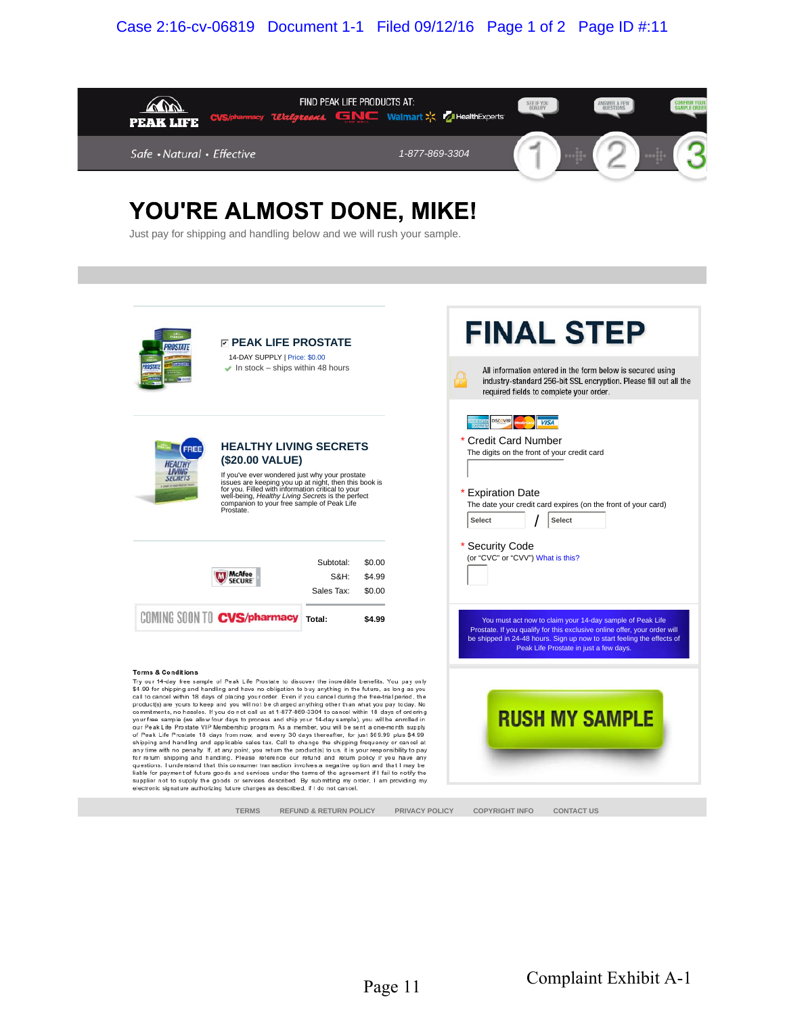## Case 2:16-cv-06819 Document 1-1 Filed 09/12/16 Page 1 of 2 Page ID #:11



## YOU'RE ALMOST DONE, MIKE!

Just pay for shipping and handling below and we will rush your sample.